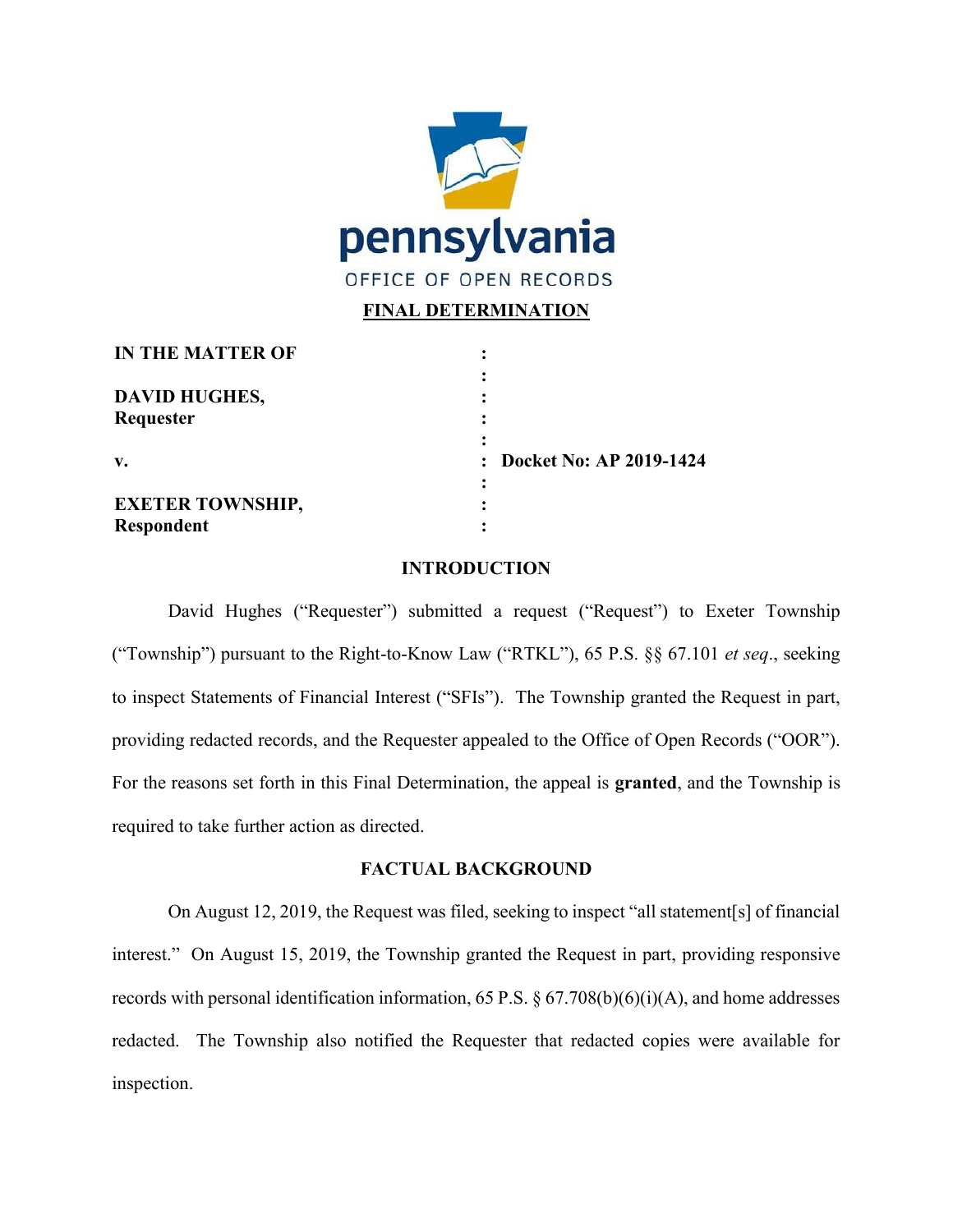

# **FINAL DETERMINATION**

| <b>IN THE MATTER OF</b> |                           |
|-------------------------|---------------------------|
| <b>DAVID HUGHES,</b>    |                           |
| Requester               |                           |
| V.                      | : Docket No: AP 2019-1424 |
| <b>EXETER TOWNSHIP,</b> |                           |
| <b>Respondent</b>       |                           |

## **INTRODUCTION**

David Hughes ("Requester") submitted a request ("Request") to Exeter Township ("Township") pursuant to the Right-to-Know Law ("RTKL"), 65 P.S. §§ 67.101 *et seq*., seeking to inspect Statements of Financial Interest ("SFIs"). The Township granted the Request in part, providing redacted records, and the Requester appealed to the Office of Open Records ("OOR"). For the reasons set forth in this Final Determination, the appeal is **granted**, and the Township is required to take further action as directed.

### **FACTUAL BACKGROUND**

On August 12, 2019, the Request was filed, seeking to inspect "all statement[s] of financial interest." On August 15, 2019, the Township granted the Request in part, providing responsive records with personal identification information, 65 P.S. § 67.708(b)(6)(i)(A), and home addresses redacted. The Township also notified the Requester that redacted copies were available for inspection.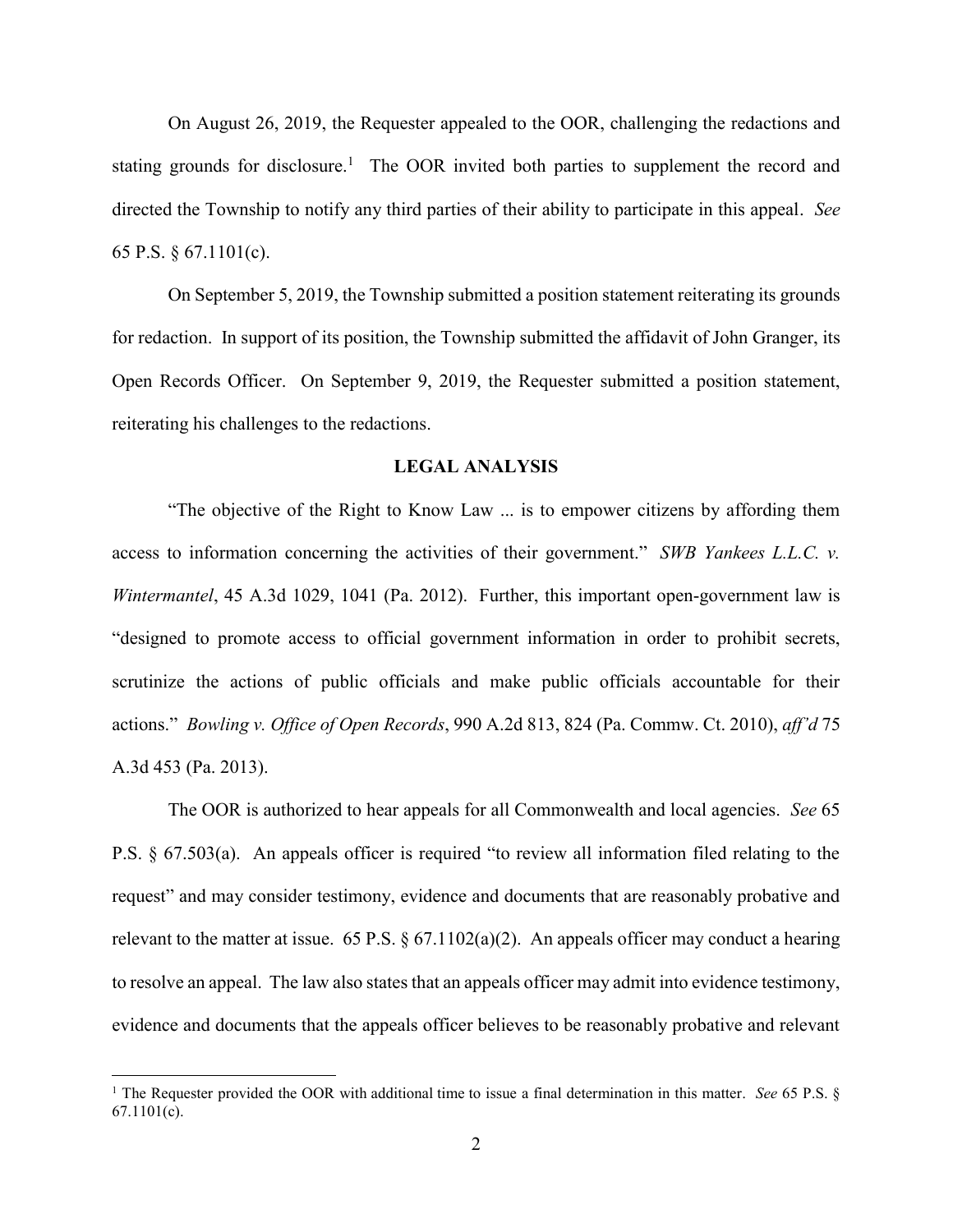On August 26, 2019, the Requester appealed to the OOR, challenging the redactions and stating grounds for disclosure.<sup>1</sup> The OOR invited both parties to supplement the record and directed the Township to notify any third parties of their ability to participate in this appeal. *See* 65 P.S. § 67.1101(c).

On September 5, 2019, the Township submitted a position statement reiterating its grounds for redaction. In support of its position, the Township submitted the affidavit of John Granger, its Open Records Officer. On September 9, 2019, the Requester submitted a position statement, reiterating his challenges to the redactions.

#### **LEGAL ANALYSIS**

"The objective of the Right to Know Law ... is to empower citizens by affording them access to information concerning the activities of their government." *SWB Yankees L.L.C. v. Wintermantel*, 45 A.3d 1029, 1041 (Pa. 2012). Further, this important open-government law is "designed to promote access to official government information in order to prohibit secrets, scrutinize the actions of public officials and make public officials accountable for their actions." *Bowling v. Office of Open Records*, 990 A.2d 813, 824 (Pa. Commw. Ct. 2010), *aff'd* 75 A.3d 453 (Pa. 2013).

The OOR is authorized to hear appeals for all Commonwealth and local agencies. *See* 65 P.S. § 67.503(a). An appeals officer is required "to review all information filed relating to the request" and may consider testimony, evidence and documents that are reasonably probative and relevant to the matter at issue. 65 P.S.  $\S 67.1102(a)(2)$ . An appeals officer may conduct a hearing to resolve an appeal. The law also states that an appeals officer may admit into evidence testimony, evidence and documents that the appeals officer believes to be reasonably probative and relevant

 <sup>1</sup> The Requester provided the OOR with additional time to issue a final determination in this matter. *See* 65 P.S. § 67.1101(c).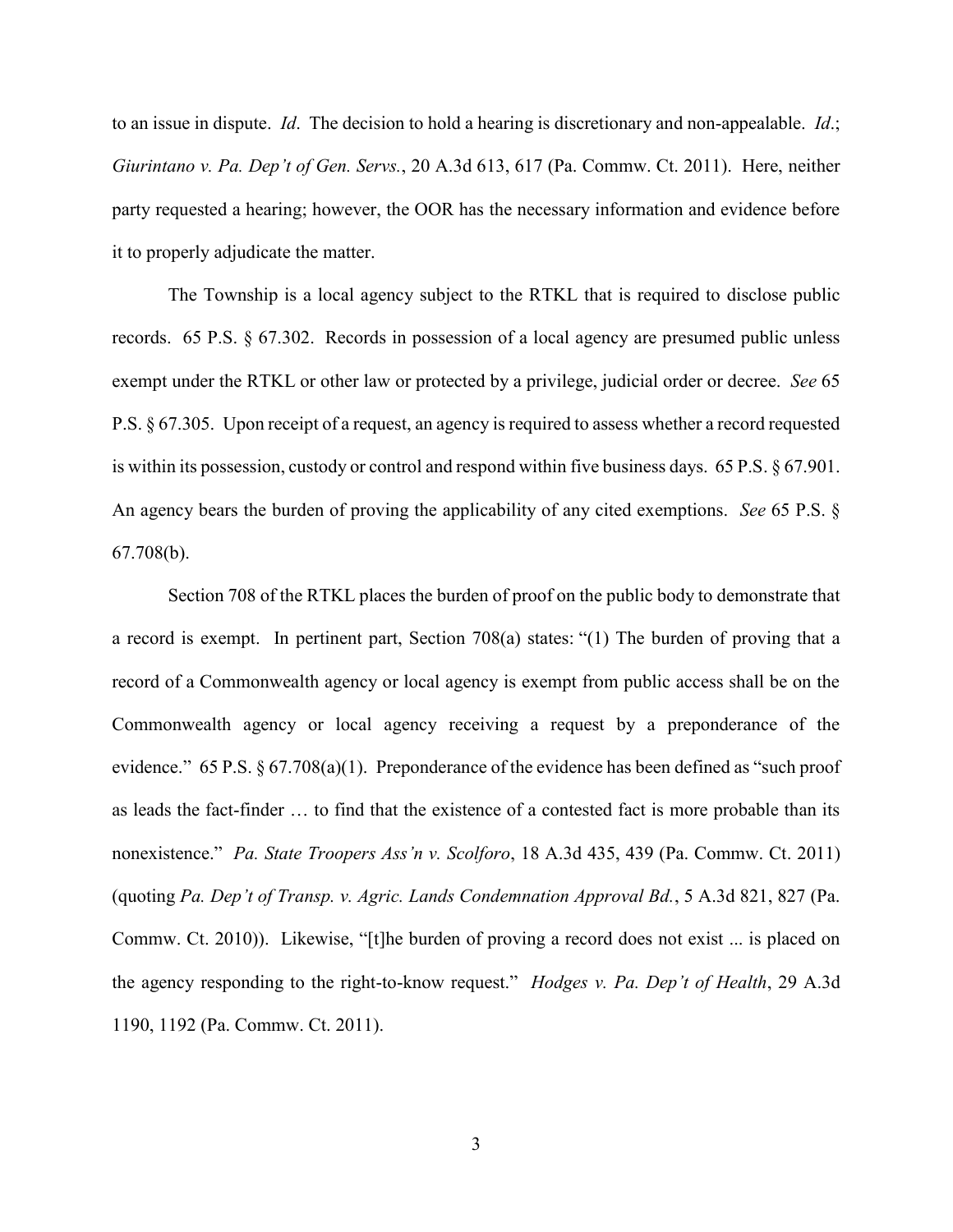to an issue in dispute. *Id*. The decision to hold a hearing is discretionary and non-appealable. *Id*.; *Giurintano v. Pa. Dep't of Gen. Servs.*, 20 A.3d 613, 617 (Pa. Commw. Ct. 2011). Here, neither party requested a hearing; however, the OOR has the necessary information and evidence before it to properly adjudicate the matter.

The Township is a local agency subject to the RTKL that is required to disclose public records. 65 P.S. § 67.302. Records in possession of a local agency are presumed public unless exempt under the RTKL or other law or protected by a privilege, judicial order or decree. *See* 65 P.S. § 67.305. Upon receipt of a request, an agency is required to assess whether a record requested is within its possession, custody or control and respond within five business days. 65 P.S. § 67.901. An agency bears the burden of proving the applicability of any cited exemptions. *See* 65 P.S. § 67.708(b).

Section 708 of the RTKL places the burden of proof on the public body to demonstrate that a record is exempt. In pertinent part, Section 708(a) states: "(1) The burden of proving that a record of a Commonwealth agency or local agency is exempt from public access shall be on the Commonwealth agency or local agency receiving a request by a preponderance of the evidence." 65 P.S.  $\S 67.708(a)(1)$ . Preponderance of the evidence has been defined as "such proof as leads the fact-finder … to find that the existence of a contested fact is more probable than its nonexistence." *Pa. State Troopers Ass'n v. Scolforo*, 18 A.3d 435, 439 (Pa. Commw. Ct. 2011) (quoting *Pa. Dep't of Transp. v. Agric. Lands Condemnation Approval Bd.*, 5 A.3d 821, 827 (Pa. Commw. Ct. 2010)). Likewise, "[t]he burden of proving a record does not exist ... is placed on the agency responding to the right-to-know request." *Hodges v. Pa. Dep't of Health*, 29 A.3d 1190, 1192 (Pa. Commw. Ct. 2011).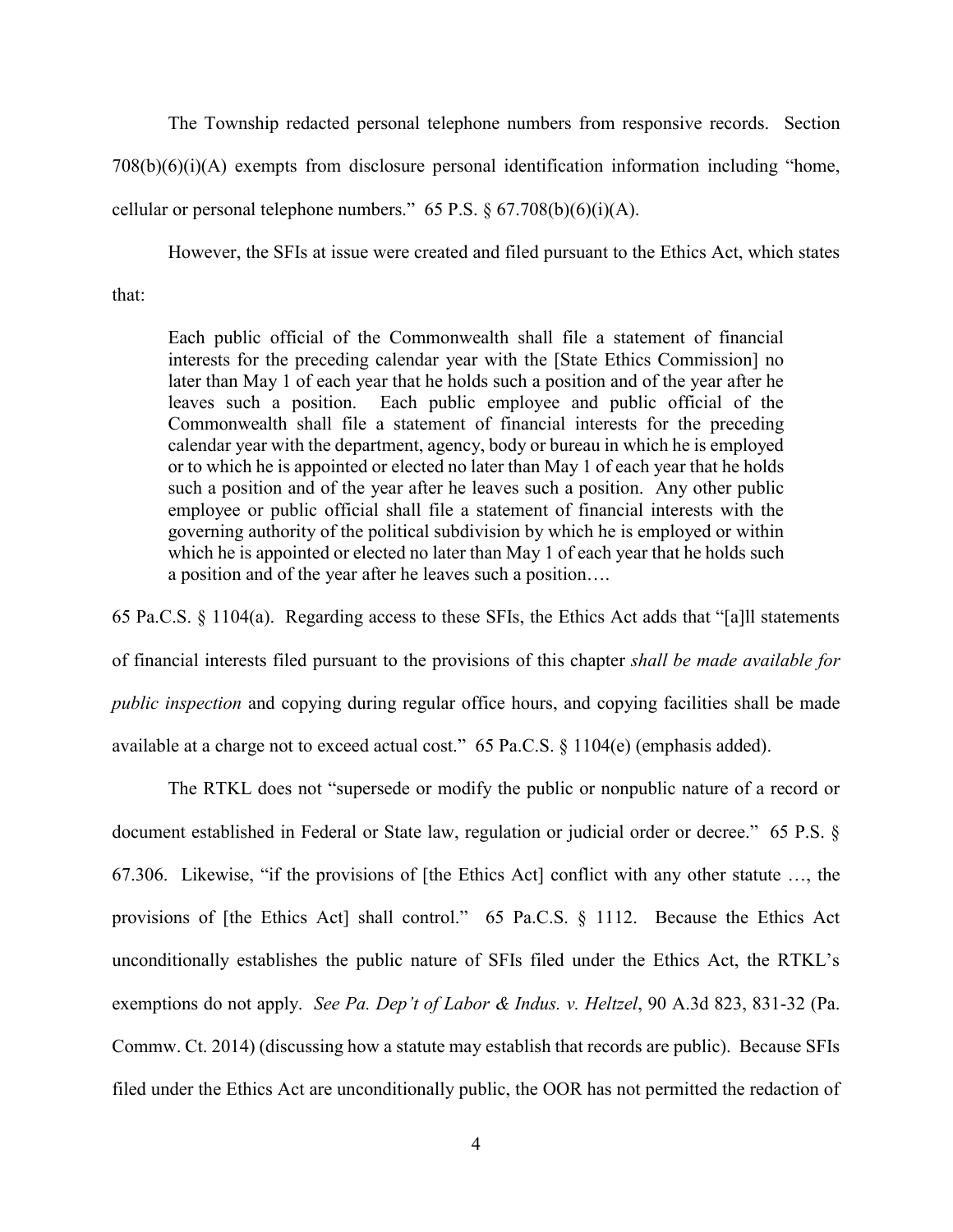The Township redacted personal telephone numbers from responsive records. Section 708(b)(6)(i)(A) exempts from disclosure personal identification information including "home, cellular or personal telephone numbers." 65 P.S. § 67.708(b)(6)(i)(A).

However, the SFIs at issue were created and filed pursuant to the Ethics Act, which states that:

Each public official of the Commonwealth shall file a statement of financial interests for the preceding calendar year with the [State Ethics Commission] no later than May 1 of each year that he holds such a position and of the year after he leaves such a position. Each public employee and public official of the Commonwealth shall file a statement of financial interests for the preceding calendar year with the department, agency, body or bureau in which he is employed or to which he is appointed or elected no later than May 1 of each year that he holds such a position and of the year after he leaves such a position. Any other public employee or public official shall file a statement of financial interests with the governing authority of the political subdivision by which he is employed or within which he is appointed or elected no later than May 1 of each year that he holds such a position and of the year after he leaves such a position….

65 Pa.C.S. § 1104(a). Regarding access to these SFIs, the Ethics Act adds that "[a]ll statements of financial interests filed pursuant to the provisions of this chapter *shall be made available for public inspection* and copying during regular office hours, and copying facilities shall be made available at a charge not to exceed actual cost." 65 Pa.C.S. § 1104(e) (emphasis added).

The RTKL does not "supersede or modify the public or nonpublic nature of a record or document established in Federal or State law, regulation or judicial order or decree." 65 P.S. § 67.306. Likewise, "if the provisions of [the Ethics Act] conflict with any other statute …, the provisions of [the Ethics Act] shall control." 65 Pa.C.S. § 1112. Because the Ethics Act unconditionally establishes the public nature of SFIs filed under the Ethics Act, the RTKL's exemptions do not apply. *See Pa. Dep't of Labor & Indus. v. Heltzel*, 90 A.3d 823, 831-32 (Pa. Commw. Ct. 2014) (discussing how a statute may establish that records are public). Because SFIs filed under the Ethics Act are unconditionally public, the OOR has not permitted the redaction of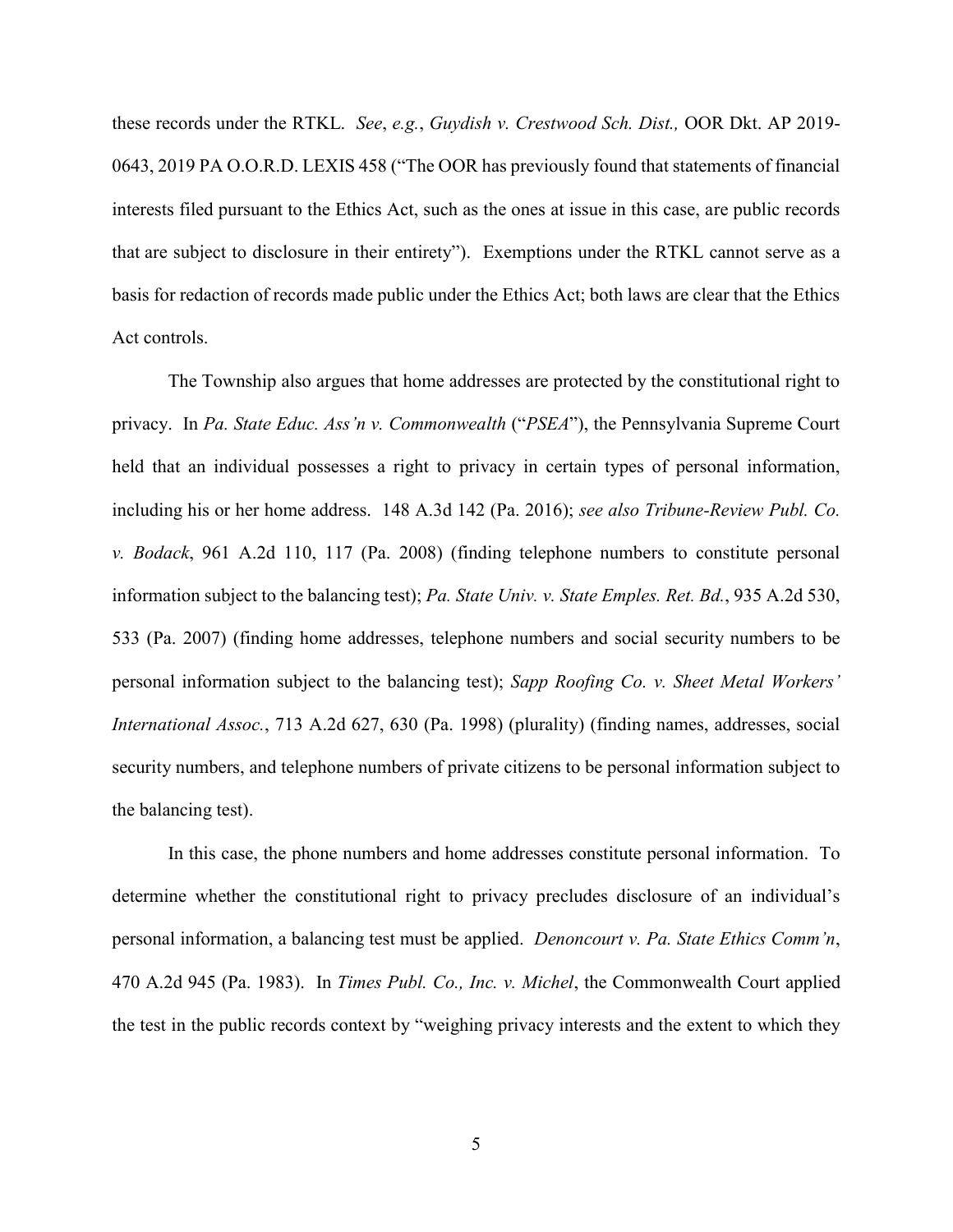these records under the RTKL. *See*, *e.g.*, *Guydish v. Crestwood Sch. Dist.,* OOR Dkt. AP 2019- 0643, 2019 PA O.O.R.D. LEXIS 458 ("The OOR has previously found that statements of financial interests filed pursuant to the Ethics Act, such as the ones at issue in this case, are public records that are subject to disclosure in their entirety"). Exemptions under the RTKL cannot serve as a basis for redaction of records made public under the Ethics Act; both laws are clear that the Ethics Act controls.

The Township also argues that home addresses are protected by the constitutional right to privacy. In *Pa. State Educ. Ass'n v. Commonwealth* ("*PSEA*"), the Pennsylvania Supreme Court held that an individual possesses a right to privacy in certain types of personal information, including his or her home address. 148 A.3d 142 (Pa. 2016); *see also Tribune-Review Publ. Co. v. Bodack*, 961 A.2d 110, 117 (Pa. 2008) (finding telephone numbers to constitute personal information subject to the balancing test); *Pa. State Univ. v. State Emples. Ret. Bd.*, 935 A.2d 530, 533 (Pa. 2007) (finding home addresses, telephone numbers and social security numbers to be personal information subject to the balancing test); *Sapp Roofing Co. v. Sheet Metal Workers' International Assoc.*, 713 A.2d 627, 630 (Pa. 1998) (plurality) (finding names, addresses, social security numbers, and telephone numbers of private citizens to be personal information subject to the balancing test).

In this case, the phone numbers and home addresses constitute personal information. To determine whether the constitutional right to privacy precludes disclosure of an individual's personal information, a balancing test must be applied. *Denoncourt v. Pa. State Ethics Comm'n*, 470 A.2d 945 (Pa. 1983). In *Times Publ. Co., Inc. v. Michel*, the Commonwealth Court applied the test in the public records context by "weighing privacy interests and the extent to which they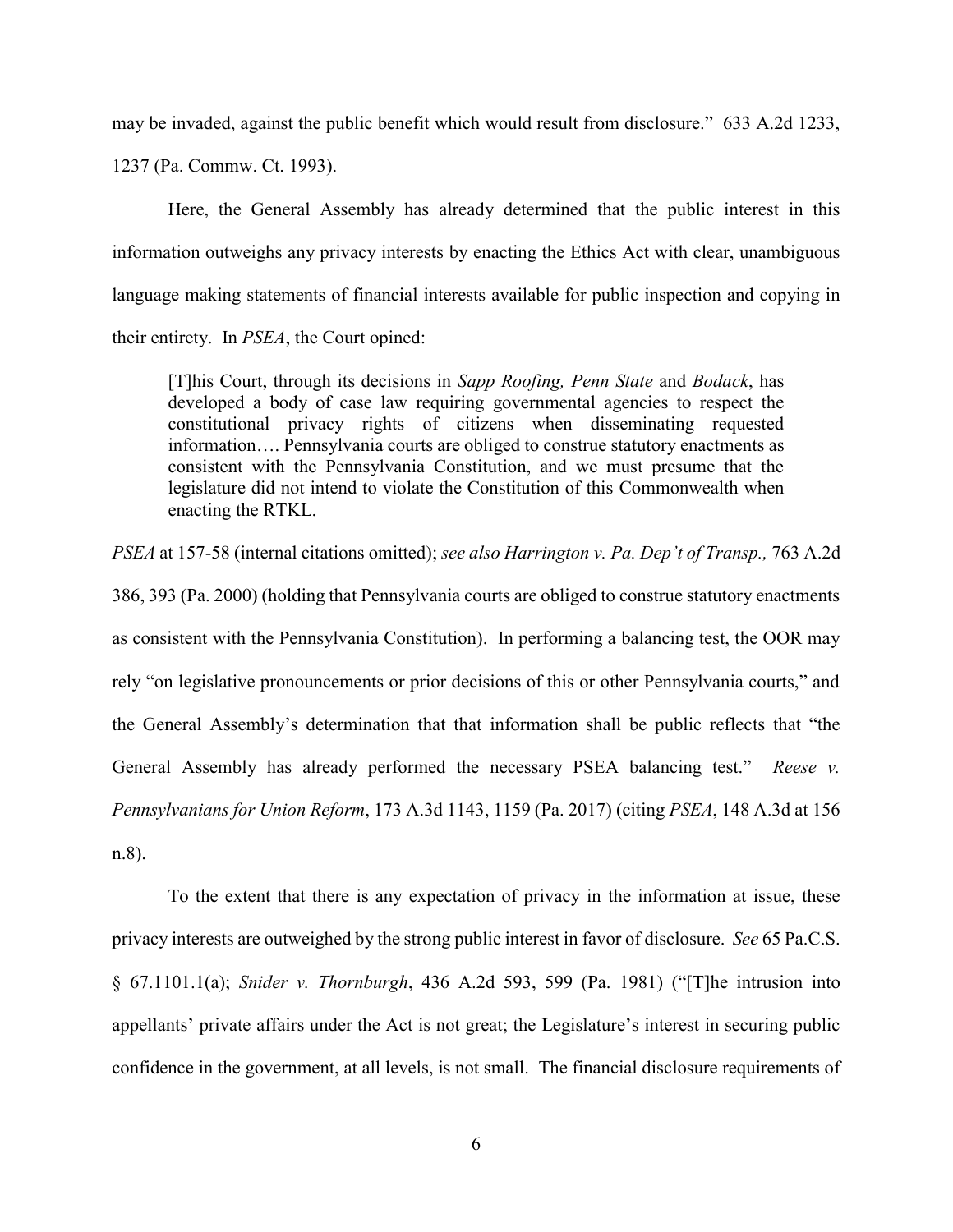may be invaded, against the public benefit which would result from disclosure." 633 A.2d 1233,

1237 (Pa. Commw. Ct. 1993).

Here, the General Assembly has already determined that the public interest in this information outweighs any privacy interests by enacting the Ethics Act with clear, unambiguous language making statements of financial interests available for public inspection and copying in their entirety. In *PSEA*, the Court opined:

[T]his Court, through its decisions in *Sapp Roofing, Penn State* and *Bodack*, has developed a body of case law requiring governmental agencies to respect the constitutional privacy rights of citizens when disseminating requested information…. Pennsylvania courts are obliged to construe statutory enactments as consistent with the Pennsylvania Constitution, and we must presume that the legislature did not intend to violate the Constitution of this Commonwealth when enacting the RTKL.

*PSEA* at 157-58 (internal citations omitted); *see also Harrington v. Pa. Dep't of Transp.,* 763 A.2d

386, 393 (Pa. 2000) (holding that Pennsylvania courts are obliged to construe statutory enactments as consistent with the Pennsylvania Constitution). In performing a balancing test, the OOR may rely "on legislative pronouncements or prior decisions of this or other Pennsylvania courts," and the General Assembly's determination that that information shall be public reflects that "the General Assembly has already performed the necessary PSEA balancing test." *Reese v. Pennsylvanians for Union Reform*, 173 A.3d 1143, 1159 (Pa. 2017) (citing *PSEA*, 148 A.3d at 156 n.8).

To the extent that there is any expectation of privacy in the information at issue, these privacy interests are outweighed by the strong public interest in favor of disclosure. *See* 65 Pa.C.S. § 67.1101.1(a); *Snider v. Thornburgh*, 436 A.2d 593, 599 (Pa. 1981) ("[T]he intrusion into appellants' private affairs under the Act is not great; the Legislature's interest in securing public confidence in the government, at all levels, is not small. The financial disclosure requirements of